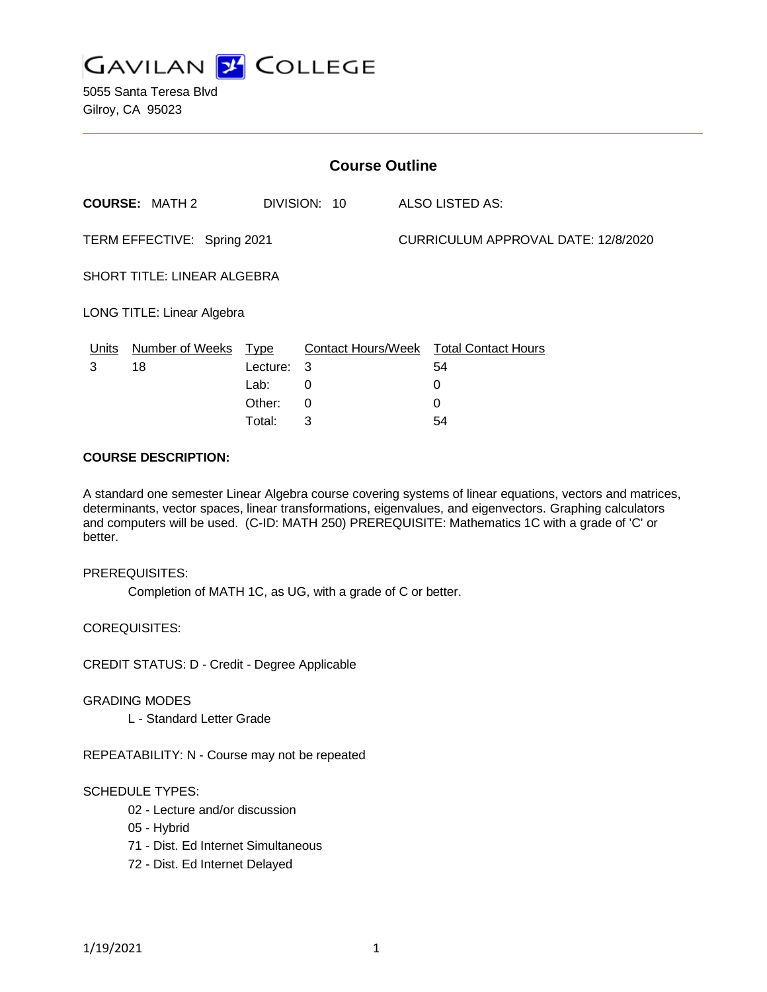

5055 Santa Teresa Blvd Gilroy, CA 95023

| <b>Course Outline</b>             |                                       |             |   |                                     |                                        |
|-----------------------------------|---------------------------------------|-------------|---|-------------------------------------|----------------------------------------|
|                                   | <b>COURSE: MATH 2</b><br>DIVISION: 10 |             |   | ALSO LISTED AS:                     |                                        |
| TERM EFFECTIVE: Spring 2021       |                                       |             |   | CURRICULUM APPROVAL DATE: 12/8/2020 |                                        |
| SHORT TITLE: LINEAR ALGEBRA       |                                       |             |   |                                     |                                        |
| <b>LONG TITLE: Linear Algebra</b> |                                       |             |   |                                     |                                        |
| Units                             | <b>Number of Weeks</b>                | <u>Type</u> |   |                                     | Contact Hours/Week Total Contact Hours |
| 3                                 | 18                                    | Lecture: 3  |   |                                     | 54                                     |
|                                   |                                       | Lab:        | 0 |                                     | 0                                      |
|                                   |                                       | Other:      | 0 |                                     | 0                                      |
|                                   |                                       | Total:      | 3 |                                     | 54                                     |

### **COURSE DESCRIPTION:**

A standard one semester Linear Algebra course covering systems of linear equations, vectors and matrices, determinants, vector spaces, linear transformations, eigenvalues, and eigenvectors. Graphing calculators and computers will be used. (C-ID: MATH 250) PREREQUISITE: Mathematics 1C with a grade of 'C' or better.

#### PREREQUISITES:

Completion of MATH 1C, as UG, with a grade of C or better.

COREQUISITES:

CREDIT STATUS: D - Credit - Degree Applicable

GRADING MODES

L - Standard Letter Grade

REPEATABILITY: N - Course may not be repeated

#### SCHEDULE TYPES:

- 02 Lecture and/or discussion
- 05 Hybrid
- 71 Dist. Ed Internet Simultaneous
- 72 Dist. Ed Internet Delayed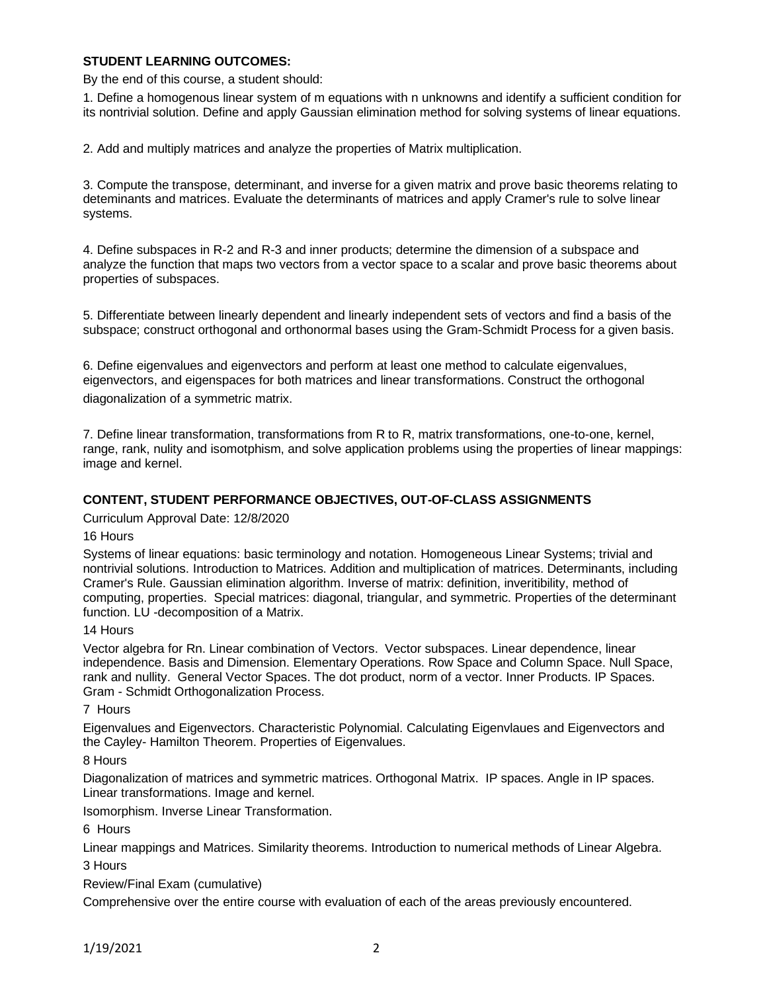## **STUDENT LEARNING OUTCOMES:**

By the end of this course, a student should:

1. Define a homogenous linear system of m equations with n unknowns and identify a sufficient condition for its nontrivial solution. Define and apply Gaussian elimination method for solving systems of linear equations.

2. Add and multiply matrices and analyze the properties of Matrix multiplication.

3. Compute the transpose, determinant, and inverse for a given matrix and prove basic theorems relating to deteminants and matrices. Evaluate the determinants of matrices and apply Cramer's rule to solve linear systems.

4. Define subspaces in R-2 and R-3 and inner products; determine the dimension of a subspace and analyze the function that maps two vectors from a vector space to a scalar and prove basic theorems about properties of subspaces.

5. Differentiate between linearly dependent and linearly independent sets of vectors and find a basis of the subspace; construct orthogonal and orthonormal bases using the Gram-Schmidt Process for a given basis.

6. Define eigenvalues and eigenvectors and perform at least one method to calculate eigenvalues, eigenvectors, and eigenspaces for both matrices and linear transformations. Construct the orthogonal diagonalization of a symmetric matrix.

7. Define linear transformation, transformations from R to R, matrix transformations, one-to-one, kernel, range, rank, nulity and isomotphism, and solve application problems using the properties of linear mappings: image and kernel.

# **CONTENT, STUDENT PERFORMANCE OBJECTIVES, OUT-OF-CLASS ASSIGNMENTS**

Curriculum Approval Date: 12/8/2020

### 16 Hours

Systems of linear equations: basic terminology and notation. Homogeneous Linear Systems; trivial and nontrivial solutions. Introduction to Matrices. Addition and multiplication of matrices. Determinants, including Cramer's Rule. Gaussian elimination algorithm. Inverse of matrix: definition, inveritibility, method of computing, properties. Special matrices: diagonal, triangular, and symmetric. Properties of the determinant function. LU -decomposition of a Matrix.

#### 14 Hours

Vector algebra for Rn. Linear combination of Vectors. Vector subspaces. Linear dependence, linear independence. Basis and Dimension. Elementary Operations. Row Space and Column Space. Null Space, rank and nullity. General Vector Spaces. The dot product, norm of a vector. Inner Products. IP Spaces. Gram - Schmidt Orthogonalization Process.

#### 7 Hours

Eigenvalues and Eigenvectors. Characteristic Polynomial. Calculating Eigenvlaues and Eigenvectors and the Cayley- Hamilton Theorem. Properties of Eigenvalues.

8 Hours

Diagonalization of matrices and symmetric matrices. Orthogonal Matrix. IP spaces. Angle in IP spaces. Linear transformations. Image and kernel.

Isomorphism. Inverse Linear Transformation.

6 Hours

Linear mappings and Matrices. Similarity theorems. Introduction to numerical methods of Linear Algebra. 3 Hours

Review/Final Exam (cumulative)

Comprehensive over the entire course with evaluation of each of the areas previously encountered.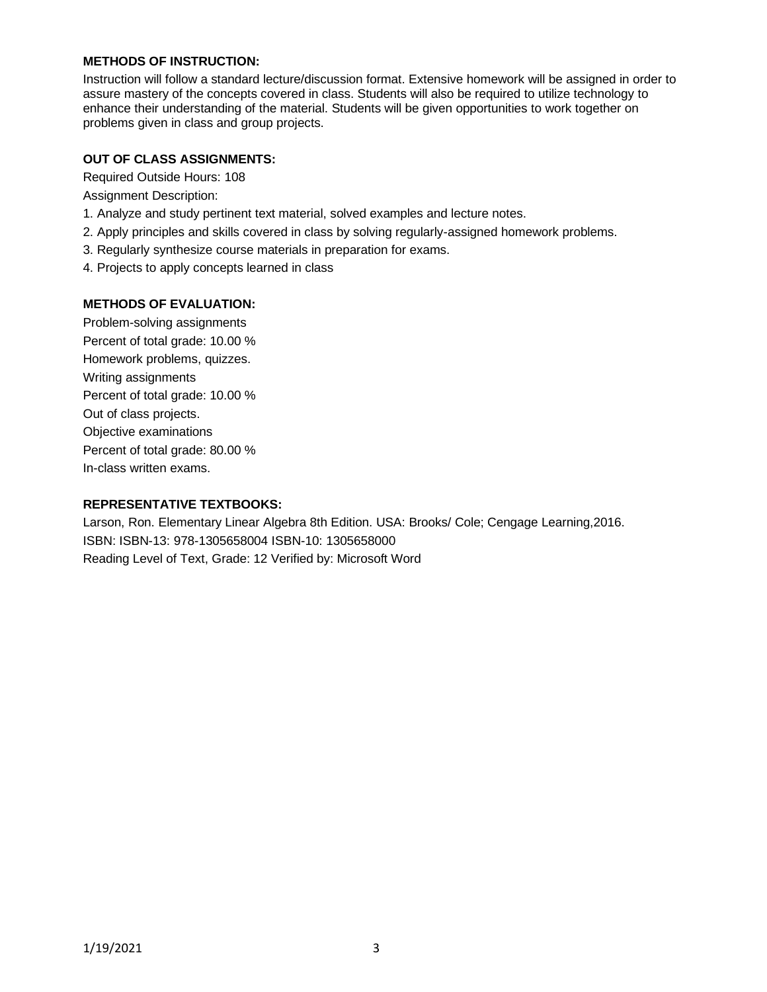# **METHODS OF INSTRUCTION:**

Instruction will follow a standard lecture/discussion format. Extensive homework will be assigned in order to assure mastery of the concepts covered in class. Students will also be required to utilize technology to enhance their understanding of the material. Students will be given opportunities to work together on problems given in class and group projects.

## **OUT OF CLASS ASSIGNMENTS:**

Required Outside Hours: 108

Assignment Description:

- 1. Analyze and study pertinent text material, solved examples and lecture notes.
- 2. Apply principles and skills covered in class by solving regularly-assigned homework problems.
- 3. Regularly synthesize course materials in preparation for exams.
- 4. Projects to apply concepts learned in class

### **METHODS OF EVALUATION:**

Problem-solving assignments Percent of total grade: 10.00 % Homework problems, quizzes. Writing assignments Percent of total grade: 10.00 % Out of class projects. Objective examinations Percent of total grade: 80.00 % In-class written exams.

## **REPRESENTATIVE TEXTBOOKS:**

Larson, Ron. Elementary Linear Algebra 8th Edition. USA: Brooks/ Cole; Cengage Learning,2016. ISBN: ISBN-13: 978-1305658004 ISBN-10: 1305658000 Reading Level of Text, Grade: 12 Verified by: Microsoft Word